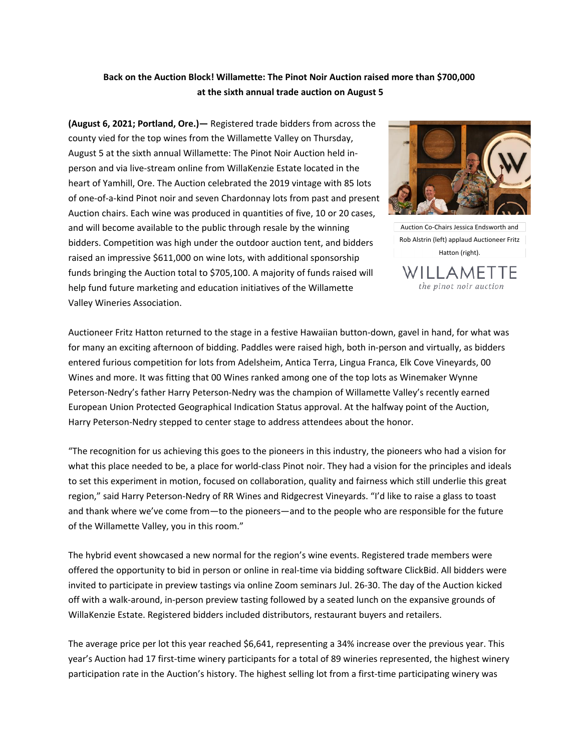# **Back on the Auction Block! Willamette: The Pinot Noir Auction raised more than \$700,000 at the sixth annual trade auction on August 5**

**(August 6, 2021; Portland, Ore.)—** Registered trade bidders from across the county vied for the top wines from the Willamette Valley on Thursday, August 5 at the sixth annual Willamette: The Pinot Noir Auction held inperson and via live-stream online from WillaKenzie Estate located in the heart of Yamhill, Ore. The Auction celebrated the 2019 vintage with 85 lots of one-of-a-kind Pinot noir and seven Chardonnay lots from past and present Auction chairs. Each wine was produced in quantities of five, 10 or 20 cases, and will become available to the public through resale by the winning bidders. Competition was high under the outdoor auction tent, and bidders raised an impressive \$611,000 on wine lots, with additional sponsorship funds bringing the Auction total to \$705,100. A majority of funds raised will help fund future marketing and education initiatives of the Willamette Valley Wineries Association.



Auction Co-Chairs Jessica Endsworth and Rob Alstrin (left) applaud Auctioneer Fritz Hatton (right).ΓF  $AMFI$ 

the pinot noir auction

Auctioneer Fritz Hatton returned to the stage in a festive Hawaiian button-down, gavel in hand, for what was for many an exciting afternoon of bidding. Paddles were raised high, both in-person and virtually, as bidders entered furious competition for lots from Adelsheim, Antica Terra, Lingua Franca, Elk Cove Vineyards, 00 Wines and more. It was fitting that 00 Wines ranked among one of the top lots as Winemaker Wynne Peterson-Nedry's father Harry Peterson-Nedry was the champion of Willamette Valley's recently earned European Union Protected Geographical Indication Status approval. At the halfway point of the Auction, Harry Peterson-Nedry stepped to center stage to address attendees about the honor.

"The recognition for us achieving this goes to the pioneers in this industry, the pioneers who had a vision for what this place needed to be, a place for world-class Pinot noir. They had a vision for the principles and ideals to set this experiment in motion, focused on collaboration, quality and fairness which still underlie this great region," said Harry Peterson-Nedry of RR Wines and Ridgecrest Vineyards. "I'd like to raise a glass to toast and thank where we've come from—to the pioneers—and to the people who are responsible for the future of the Willamette Valley, you in this room."

The hybrid event showcased a new normal for the region's wine events. Registered trade members were offered the opportunity to bid in person or online in real-time via bidding software ClickBid. All bidders were invited to participate in preview tastings via online Zoom seminars Jul. 26-30. The day of the Auction kicked off with a walk-around, in-person preview tasting followed by a seated lunch on the expansive grounds of WillaKenzie Estate. Registered bidders included distributors, restaurant buyers and retailers.

The average price per lot this year reached \$6,641, representing a 34% increase over the previous year. This year's Auction had 17 first-time winery participants for a total of 89 wineries represented, the highest winery participation rate in the Auction's history. The highest selling lot from a first-time participating winery was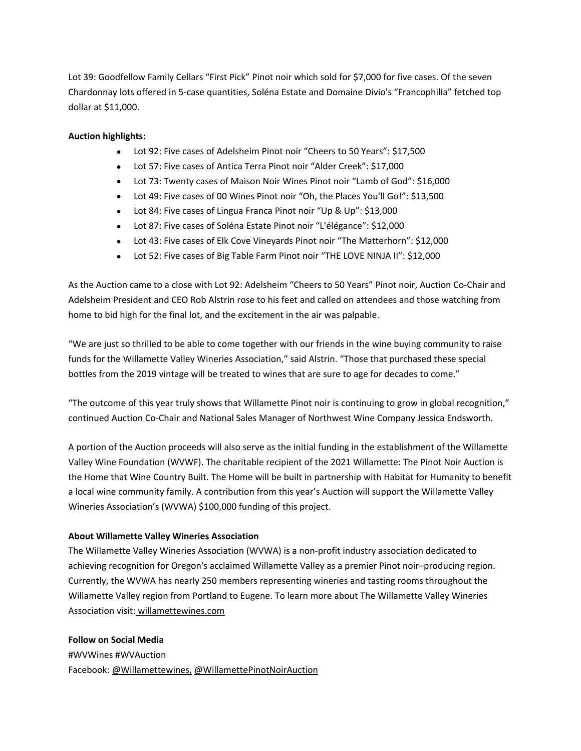Lot 39: Goodfellow Family Cellars "First Pick" Pinot noir which sold for \$7,000 for five cases. Of the seven Chardonnay lots offered in 5-case quantities, Soléna Estate and Domaine Divio's "Francophilia" fetched top dollar at \$11,000.

### **Auction highlights:**

- Lot 92: Five cases of Adelsheim Pinot noir "Cheers to 50 Years": \$17,500
- Lot 57: Five cases of Antica Terra Pinot noir "Alder Creek": \$17,000
- Lot 73: Twenty cases of Maison Noir Wines Pinot noir "Lamb of God": \$16,000
- Lot 49: Five cases of 00 Wines Pinot noir "Oh, the Places You'll Go!": \$13,500
- Lot 84: Five cases of Lingua Franca Pinot noir "Up & Up": \$13,000
- Lot 87: Five cases of Soléna Estate Pinot noir "L'élégance": \$12,000
- Lot 43: Five cases of Elk Cove Vineyards Pinot noir "The Matterhorn": \$12,000
- Lot 52: Five cases of Big Table Farm Pinot noir "THE LOVE NINJA II": \$12,000

As the Auction came to a close with Lot 92: Adelsheim "Cheers to 50 Years" Pinot noir, Auction Co-Chair and Adelsheim President and CEO Rob Alstrin rose to his feet and called on attendees and those watching from home to bid high for the final lot, and the excitement in the air was palpable.

"We are just so thrilled to be able to come together with our friends in the wine buying community to raise funds for the Willamette Valley Wineries Association," said Alstrin. "Those that purchased these special bottles from the 2019 vintage will be treated to wines that are sure to age for decades to come."

"The outcome of this year truly shows that Willamette Pinot noir is continuing to grow in global recognition," continued Auction Co-Chair and National Sales Manager of Northwest Wine Company Jessica Endsworth.

A portion of the Auction proceeds will also serve as the initial funding in the establishment of the Willamette Valley Wine Foundation (WVWF). The charitable recipient of the 2021 Willamette: The Pinot Noir Auction is the Home that Wine Country Built. The Home will be built in partnership with Habitat for Humanity to benefit a local wine community family. A contribution from this year's Auction will support the Willamette Valley Wineries Association's (WVWA) \$100,000 funding of this project.

### **About Willamette Valley Wineries Association**

The Willamette Valley Wineries Association (WVWA) is a non-profit industry association dedicated to achieving recognition for Oregon's acclaimed Willamette Valley as a premier Pinot noir–producing region. Currently, the WVWA has nearly 250 members representing wineries and tasting rooms throughout the Willamette Valley region from Portland to Eugene. To learn more about The Willamette Valley Wineries Association visit: [willamettewines.com](https://jarviscommunications.createsend1.com/t/r-l-tluiide-l-t/)

### **Follow on Social Media**

#WVWines #WVAuction Facebook: [@Willamettewines,](https://jarviscommunications.createsend1.com/t/r-l-tluiide-l-i/) [@WillamettePinotNoirAuction](https://jarviscommunications.createsend1.com/t/r-l-tluiide-l-d/)